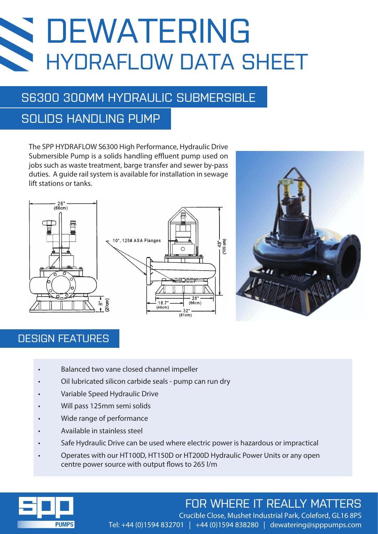## DEWATERING **SS** HYDRAFLOW DATA SHEET

## S6300 300MM HYDRAULIC SUBMERSIBLE

### SOLIDS HANDLING PUMP

The SPP HYDRAFLOW S6300 High Performance, Hydraulic Drive Submersible Pump is a solids handling effluent pump used on jobs such as waste treatment, barge transfer and sewer by-pass duties. A guide rail system is available for installation in sewage lift stations or tanks.





#### DESIGN FEATURES

- Balanced two vane closed channel impeller
- Oil lubricated silicon carbide seals pump can run dry
- Variable Speed Hydraulic Drive
- Will pass 125mm semi solids
- Wide range of performance
- Available in stainless steel
- Safe Hydraulic Drive can be used where electric power is hazardous or impractical
- Operates with our HT100D, HT150D or HT200D Hydraulic Power Units or any open centre power source with output flows to 265 l/m



## FOR WHERE IT REALLY MATTERS

 Crucible Close, Mushet Industrial Park, Coleford, GL16 8PS Tel: +44 (0)1594 832701 | +44 (0)1594 838280 | dewatering@spppumps.com